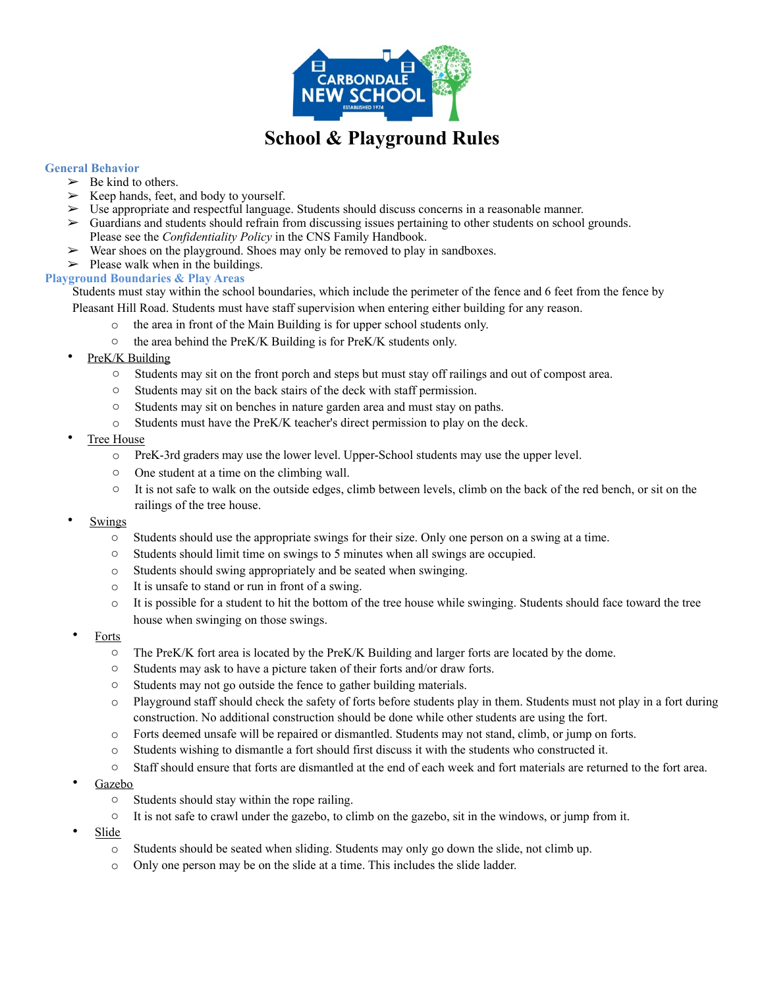

# **School & Playground Rules**

### **General Behavior**

- $\triangleright$  Be kind to others.
- ➢ Keep hands, feet, and body to yourself.
- $\triangleright$  Use appropriate and respectful language. Students should discuss concerns in a reasonable manner.
- ➢ Guardians and students should refrain from discussing issues pertaining to other students on school grounds. Please see the *Confidentiality Policy* in the CNS Family Handbook.
- $\triangleright$  Wear shoes on the playground. Shoes may only be removed to play in sandboxes.
- $\triangleright$  Please walk when in the buildings.

**Playground Boundaries & Play Areas** 

Students must stay within the school boundaries, which include the perimeter of the fence and 6 feet from the fence by Pleasant Hill Road. Students must have staff supervision when entering either building for any reason.

- o the area in front of the Main Building is for upper school students only.
- o the area behind the PreK/K Building is for PreK/K students only.
- PreK/K Building
	- o Students may sit on the front porch and steps but must stay off railings and out of compost area.
	- o Students may sit on the back stairs of the deck with staff permission.
	- o Students may sit on benches in nature garden area and must stay on paths.
	- o Students must have the PreK/K teacher's direct permission to play on the deck.
- Tree House
	- o PreK-3rd graders may use the lower level. Upper-School students may use the upper level.
	- o One student at a time on the climbing wall.
	- $\circ$  It is not safe to walk on the outside edges, climb between levels, climb on the back of the red bench, or sit on the railings of the tree house.
- **Swings** 
	- o Students should use the appropriate swings for their size. Only one person on a swing at a time.
	- o Students should limit time on swings to 5 minutes when all swings are occupied.
	- o Students should swing appropriately and be seated when swinging.
	- o It is unsafe to stand or run in front of a swing.
	- o It is possible for a student to hit the bottom of the tree house while swinging. Students should face toward the tree house when swinging on those swings.
- **Forts** 
	- o The PreK/K fort area is located by the PreK/K Building and larger forts are located by the dome.
	- o Students may ask to have a picture taken of their forts and/or draw forts.
	- o Students may not go outside the fence to gather building materials.
	- $\circ$  Playground staff should check the safety of forts before students play in them. Students must not play in a fort during construction. No additional construction should be done while other students are using the fort.
	- o Forts deemed unsafe will be repaired or dismantled. Students may not stand, climb, or jump on forts.
	- o Students wishing to dismantle a fort should first discuss it with the students who constructed it.
	- o Staff should ensure that forts are dismantled at the end of each week and fort materials are returned to the fort area.
- Gazebo
	- o Students should stay within the rope railing.
	- o It is not safe to crawl under the gazebo, to climb on the gazebo, sit in the windows, or jump from it.
- Slide
	- o Students should be seated when sliding. Students may only go down the slide, not climb up.
	- o Only one person may be on the slide at a time. This includes the slide ladder.